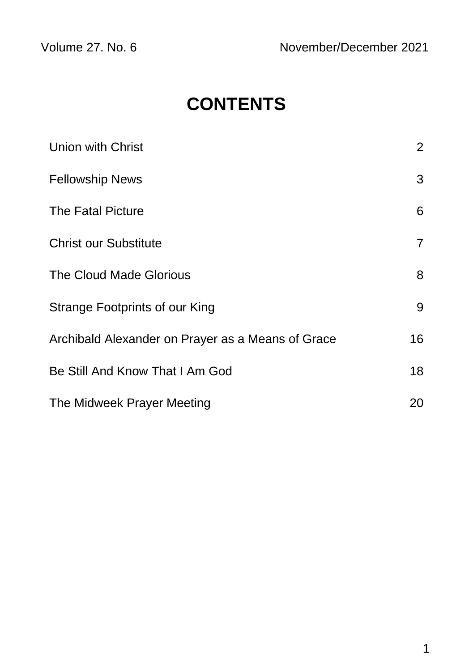# **CONTENTS**

| Union with Christ                                 | $\overline{2}$ |
|---------------------------------------------------|----------------|
| <b>Fellowship News</b>                            | 3              |
| The Fatal Picture                                 | 6              |
| <b>Christ our Substitute</b>                      | $\overline{7}$ |
| The Cloud Made Glorious                           | 8              |
| Strange Footprints of our King                    | 9              |
| Archibald Alexander on Prayer as a Means of Grace | 16             |
| Be Still And Know That I Am God                   | 18             |
| The Midweek Prayer Meeting                        | 20             |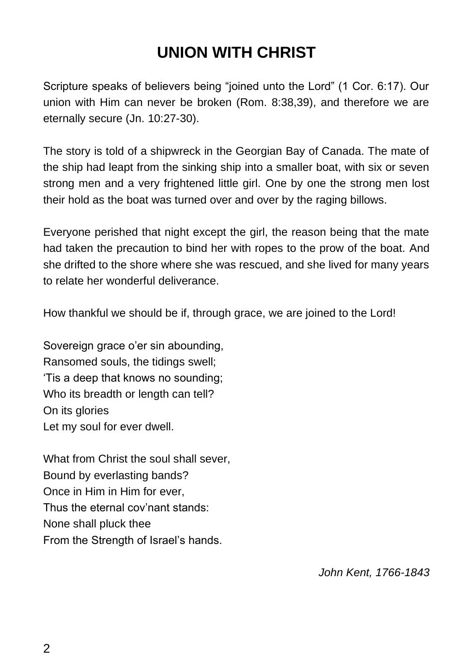### **UNION WITH CHRIST**

Scripture speaks of believers being "joined unto the Lord" (1 Cor. 6:17). Our union with Him can never be broken (Rom. 8:38,39), and therefore we are eternally secure (Jn. 10:27-30).

The story is told of a shipwreck in the Georgian Bay of Canada. The mate of the ship had leapt from the sinking ship into a smaller boat, with six or seven strong men and a very frightened little girl. One by one the strong men lost their hold as the boat was turned over and over by the raging billows.

Everyone perished that night except the girl, the reason being that the mate had taken the precaution to bind her with ropes to the prow of the boat. And she drifted to the shore where she was rescued, and she lived for many years to relate her wonderful deliverance.

How thankful we should be if, through grace, we are joined to the Lord!

Sovereign grace o'er sin abounding, Ransomed souls, the tidings swell; 'Tis a deep that knows no sounding; Who its breadth or length can tell? On its glories Let my soul for ever dwell.

What from Christ the soul shall sever, Bound by everlasting bands? Once in Him in Him for ever, Thus the eternal cov'nant stands: None shall pluck thee From the Strength of Israel's hands.

*John Kent, 1766-1843*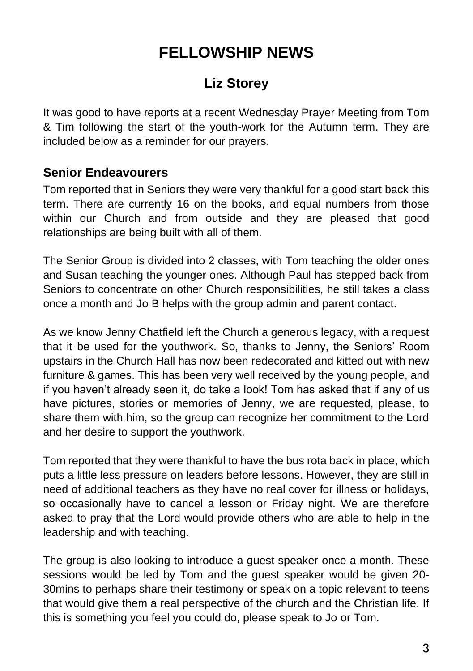## **FELLOWSHIP NEWS**

#### **Liz Storey**

It was good to have reports at a recent Wednesday Prayer Meeting from Tom & Tim following the start of the youth-work for the Autumn term. They are included below as a reminder for our prayers.

#### **Senior Endeavourers**

Tom reported that in Seniors they were very thankful for a good start back this term. There are currently 16 on the books, and equal numbers from those within our Church and from outside and they are pleased that good relationships are being built with all of them.

The Senior Group is divided into 2 classes, with Tom teaching the older ones and Susan teaching the younger ones. Although Paul has stepped back from Seniors to concentrate on other Church responsibilities, he still takes a class once a month and Jo B helps with the group admin and parent contact.

As we know Jenny Chatfield left the Church a generous legacy, with a request that it be used for the youthwork. So, thanks to Jenny, the Seniors' Room upstairs in the Church Hall has now been redecorated and kitted out with new furniture & games. This has been very well received by the young people, and if you haven't already seen it, do take a look! Tom has asked that if any of us have pictures, stories or memories of Jenny, we are requested, please, to share them with him, so the group can recognize her commitment to the Lord and her desire to support the youthwork.

Tom reported that they were thankful to have the bus rota back in place, which puts a little less pressure on leaders before lessons. However, they are still in need of additional teachers as they have no real cover for illness or holidays, so occasionally have to cancel a lesson or Friday night. We are therefore asked to pray that the Lord would provide others who are able to help in the leadership and with teaching.

The group is also looking to introduce a guest speaker once a month. These sessions would be led by Tom and the guest speaker would be given 20- 30mins to perhaps share their testimony or speak on a topic relevant to teens that would give them a real perspective of the church and the Christian life. If this is something you feel you could do, please speak to Jo or Tom.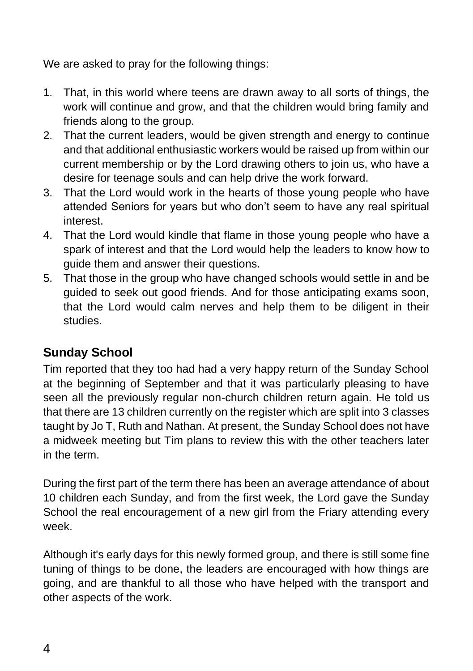We are asked to pray for the following things:

- 1. That, in this world where teens are drawn away to all sorts of things, the work will continue and grow, and that the children would bring family and friends along to the group.
- 2. That the current leaders, would be given strength and energy to continue and that additional enthusiastic workers would be raised up from within our current membership or by the Lord drawing others to join us, who have a desire for teenage souls and can help drive the work forward.
- 3. That the Lord would work in the hearts of those young people who have attended Seniors for years but who don't seem to have any real spiritual interest.
- 4. That the Lord would kindle that flame in those young people who have a spark of interest and that the Lord would help the leaders to know how to guide them and answer their questions.
- 5. That those in the group who have changed schools would settle in and be guided to seek out good friends. And for those anticipating exams soon, that the Lord would calm nerves and help them to be diligent in their studies.

#### **Sunday School**

Tim reported that they too had had a very happy return of the Sunday School at the beginning of September and that it was particularly pleasing to have seen all the previously regular non-church children return again. He told us that there are 13 children currently on the register which are split into 3 classes taught by Jo T, Ruth and Nathan. At present, the Sunday School does not have a midweek meeting but Tim plans to review this with the other teachers later in the term.

During the first part of the term there has been an average attendance of about 10 children each Sunday, and from the first week, the Lord gave the Sunday School the real encouragement of a new girl from the Friary attending every week.

Although it's early days for this newly formed group, and there is still some fine tuning of things to be done, the leaders are encouraged with how things are going, and are thankful to all those who have helped with the transport and other aspects of the work.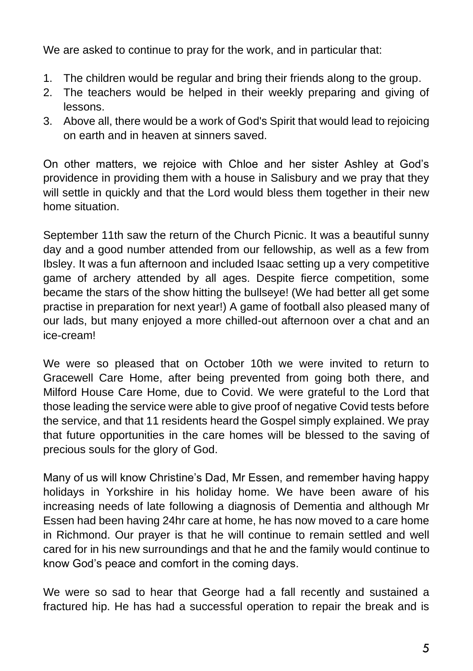We are asked to continue to pray for the work, and in particular that:

- 1. The children would be regular and bring their friends along to the group.
- 2. The teachers would be helped in their weekly preparing and giving of lessons.
- 3. Above all, there would be a work of God's Spirit that would lead to rejoicing on earth and in heaven at sinners saved.

On other matters, we rejoice with Chloe and her sister Ashley at God's providence in providing them with a house in Salisbury and we pray that they will settle in quickly and that the Lord would bless them together in their new home situation.

September 11th saw the return of the Church Picnic. It was a beautiful sunny day and a good number attended from our fellowship, as well as a few from Ibsley. It was a fun afternoon and included Isaac setting up a very competitive game of archery attended by all ages. Despite fierce competition, some became the stars of the show hitting the bullseye! (We had better all get some practise in preparation for next year!) A game of football also pleased many of our lads, but many enjoyed a more chilled-out afternoon over a chat and an ice-cream!

We were so pleased that on October 10th we were invited to return to Gracewell Care Home, after being prevented from going both there, and Milford House Care Home, due to Covid. We were grateful to the Lord that those leading the service were able to give proof of negative Covid tests before the service, and that 11 residents heard the Gospel simply explained. We pray that future opportunities in the care homes will be blessed to the saving of precious souls for the glory of God.

Many of us will know Christine's Dad, Mr Essen, and remember having happy holidays in Yorkshire in his holiday home. We have been aware of his increasing needs of late following a diagnosis of Dementia and although Mr Essen had been having 24hr care at home, he has now moved to a care home in Richmond. Our prayer is that he will continue to remain settled and well cared for in his new surroundings and that he and the family would continue to know God's peace and comfort in the coming days.

We were so sad to hear that George had a fall recently and sustained a fractured hip. He has had a successful operation to repair the break and is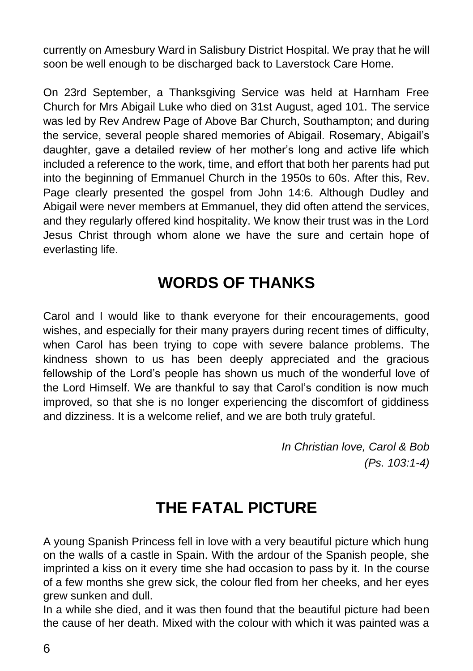currently on Amesbury Ward in Salisbury District Hospital. We pray that he will soon be well enough to be discharged back to Laverstock Care Home.

On 23rd September, a Thanksgiving Service was held at Harnham Free Church for Mrs Abigail Luke who died on 31st August, aged 101. The service was led by Rev Andrew Page of Above Bar Church, Southampton; and during the service, several people shared memories of Abigail. Rosemary, Abigail's daughter, gave a detailed review of her mother's long and active life which included a reference to the work, time, and effort that both her parents had put into the beginning of Emmanuel Church in the 1950s to 60s. After this, Rev. Page clearly presented the gospel from John 14:6. Although Dudley and Abigail were never members at Emmanuel, they did often attend the services, and they regularly offered kind hospitality. We know their trust was in the Lord Jesus Christ through whom alone we have the sure and certain hope of everlasting life.

#### **WORDS OF THANKS**

Carol and I would like to thank everyone for their encouragements, good wishes, and especially for their many prayers during recent times of difficulty, when Carol has been trying to cope with severe balance problems. The kindness shown to us has been deeply appreciated and the gracious fellowship of the Lord's people has shown us much of the wonderful love of the Lord Himself. We are thankful to say that Carol's condition is now much improved, so that she is no longer experiencing the discomfort of giddiness and dizziness. It is a welcome relief, and we are both truly grateful.

> *In Christian love, Carol & Bob (Ps. 103:1-4)*

#### **THE FATAL PICTURE**

A young Spanish Princess fell in love with a very beautiful picture which hung on the walls of a castle in Spain. With the ardour of the Spanish people, she imprinted a kiss on it every time she had occasion to pass by it. In the course of a few months she grew sick, the colour fled from her cheeks, and her eyes grew sunken and dull.

In a while she died, and it was then found that the beautiful picture had been the cause of her death. Mixed with the colour with which it was painted was a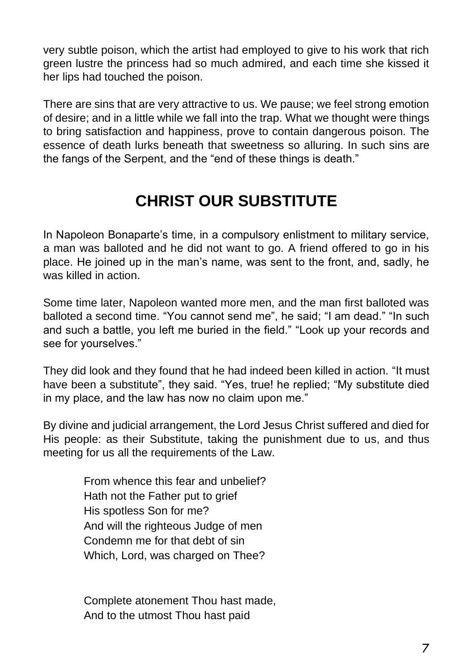very subtle poison, which the artist had employed to give to his work that rich green lustre the princess had so much admired, and each time she kissed it her lips had touched the poison.

There are sins that are very attractive to us. We pause; we feel strong emotion of desire; and in a little while we fall into the trap. What we thought were things to bring satisfaction and happiness, prove to contain dangerous poison. The essence of death lurks beneath that sweetness so alluring. In such sins are the fangs of the Serpent, and the "end of these things is death."

### **CHRIST OUR SUBSTITUTE**

In Napoleon Bonaparte's time, in a compulsory enlistment to military service, a man was balloted and he did not want to go. A friend offered to go in his place. He joined up in the man's name, was sent to the front, and, sadly, he was killed in action.

Some time later, Napoleon wanted more men, and the man first balloted was balloted a second time. "You cannot send me", he said; "I am dead." "In such and such a battle, you left me buried in the field." "Look up your records and see for yourselves."

They did look and they found that he had indeed been killed in action. "It must have been a substitute", they said. "Yes, true! he replied; "My substitute died in my place, and the law has now no claim upon me."

By divine and judicial arrangement, the Lord Jesus Christ suffered and died for His people: as their Substitute, taking the punishment due to us, and thus meeting for us all the requirements of the Law.

> From whence this fear and unbelief? Hath not the Father put to grief His spotless Son for me? And will the righteous Judge of men Condemn me for that debt of sin Which, Lord, was charged on Thee?

Complete atonement Thou hast made, And to the utmost Thou hast paid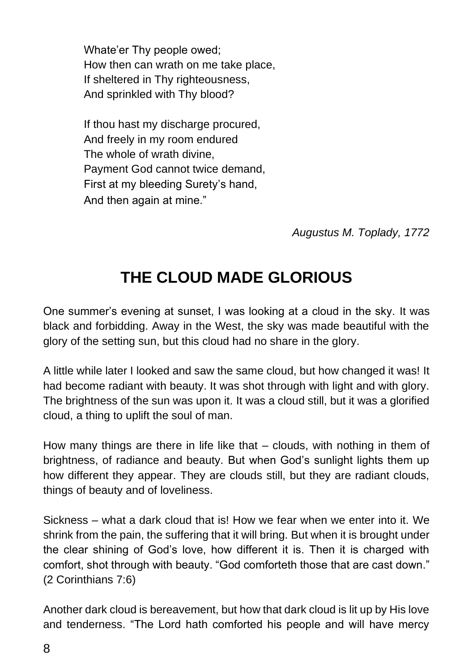Whate'er Thy people owed; How then can wrath on me take place, If sheltered in Thy righteousness, And sprinkled with Thy blood?

If thou hast my discharge procured, And freely in my room endured The whole of wrath divine, Payment God cannot twice demand, First at my bleeding Surety's hand, And then again at mine."

*Augustus M. Toplady, 1772*

## **THE CLOUD MADE GLORIOUS**

One summer's evening at sunset, I was looking at a cloud in the sky. It was black and forbidding. Away in the West, the sky was made beautiful with the glory of the setting sun, but this cloud had no share in the glory.

A little while later I looked and saw the same cloud, but how changed it was! It had become radiant with beauty. It was shot through with light and with glory. The brightness of the sun was upon it. It was a cloud still, but it was a glorified cloud, a thing to uplift the soul of man.

How many things are there in life like that – clouds, with nothing in them of brightness, of radiance and beauty. But when God's sunlight lights them up how different they appear. They are clouds still, but they are radiant clouds, things of beauty and of loveliness.

Sickness – what a dark cloud that is! How we fear when we enter into it. We shrink from the pain, the suffering that it will bring. But when it is brought under the clear shining of God's love, how different it is. Then it is charged with comfort, shot through with beauty. "God comforteth those that are cast down." (2 Corinthians 7:6)

Another dark cloud is bereavement, but how that dark cloud is lit up by His love and tenderness. "The Lord hath comforted his people and will have mercy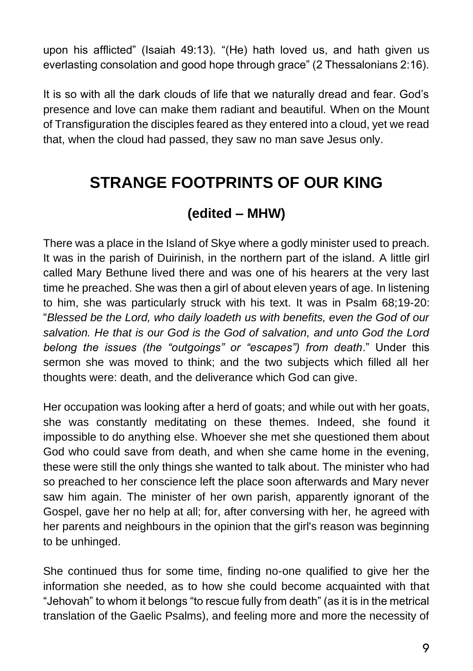upon his afflicted" (Isaiah 49:13). "(He) hath loved us, and hath given us everlasting consolation and good hope through grace" (2 Thessalonians 2:16).

It is so with all the dark clouds of life that we naturally dread and fear. God's presence and love can make them radiant and beautiful. When on the Mount of Transfiguration the disciples feared as they entered into a cloud, yet we read that, when the cloud had passed, they saw no man save Jesus only.

#### **STRANGE FOOTPRINTS OF OUR KING**

#### **(edited – MHW)**

There was a place in the Island of Skye where a godly minister used to preach. It was in the parish of Duirinish, in the northern part of the island. A little girl called Mary Bethune lived there and was one of his hearers at the very last time he preached. She was then a girl of about eleven years of age. In listening to him, she was particularly struck with his text. It was in Psalm 68;19-20: "*Blessed be the Lord, who daily loadeth us with benefits, even the God of our salvation. He that is our God is the God of salvation, and unto God the Lord belong the issues (the "outgoings" or "escapes") from death*." Under this sermon she was moved to think; and the two subjects which filled all her thoughts were: death, and the deliverance which God can give.

Her occupation was looking after a herd of goats; and while out with her goats, she was constantly meditating on these themes. Indeed, she found it impossible to do anything else. Whoever she met she questioned them about God who could save from death, and when she came home in the evening, these were still the only things she wanted to talk about. The minister who had so preached to her conscience left the place soon afterwards and Mary never saw him again. The minister of her own parish, apparently ignorant of the Gospel, gave her no help at all; for, after conversing with her, he agreed with her parents and neighbours in the opinion that the girl's reason was beginning to be unhinged.

She continued thus for some time, finding no-one qualified to give her the information she needed, as to how she could become acquainted with that "Jehovah" to whom it belongs "to rescue fully from death" (as it is in the metrical translation of the Gaelic Psalms), and feeling more and more the necessity of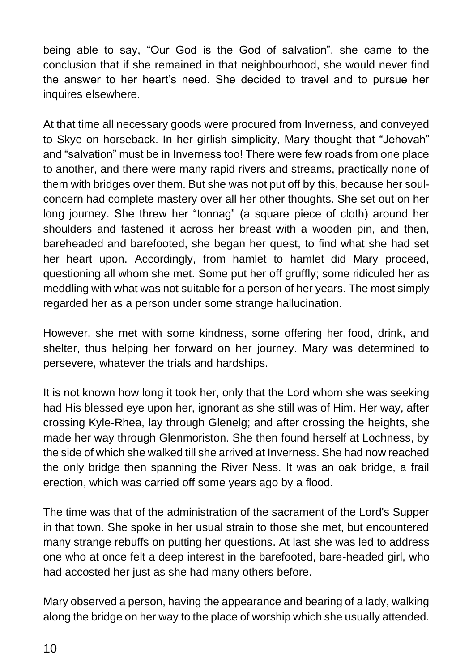being able to say, "Our God is the God of salvation", she came to the conclusion that if she remained in that neighbourhood, she would never find the answer to her heart's need. She decided to travel and to pursue her inquires elsewhere.

At that time all necessary goods were procured from Inverness, and conveyed to Skye on horseback. In her girlish simplicity, Mary thought that "Jehovah" and "salvation" must be in Inverness too! There were few roads from one place to another, and there were many rapid rivers and streams, practically none of them with bridges over them. But she was not put off by this, because her soulconcern had complete mastery over all her other thoughts. She set out on her long journey. She threw her "tonnag" (a square piece of cloth) around her shoulders and fastened it across her breast with a wooden pin, and then, bareheaded and barefooted, she began her quest, to find what she had set her heart upon. Accordingly, from hamlet to hamlet did Mary proceed, questioning all whom she met. Some put her off gruffly; some ridiculed her as meddling with what was not suitable for a person of her years. The most simply regarded her as a person under some strange hallucination.

However, she met with some kindness, some offering her food, drink, and shelter, thus helping her forward on her journey. Mary was determined to persevere, whatever the trials and hardships.

It is not known how long it took her, only that the Lord whom she was seeking had His blessed eye upon her, ignorant as she still was of Him. Her way, after crossing Kyle-Rhea, lay through Glenelg; and after crossing the heights, she made her way through Glenmoriston. She then found herself at Lochness, by the side of which she walked till she arrived at Inverness. She had now reached the only bridge then spanning the River Ness. It was an oak bridge, a frail erection, which was carried off some years ago by a flood.

The time was that of the administration of the sacrament of the Lord's Supper in that town. She spoke in her usual strain to those she met, but encountered many strange rebuffs on putting her questions. At last she was led to address one who at once felt a deep interest in the barefooted, bare-headed girl, who had accosted her just as she had many others before.

Mary observed a person, having the appearance and bearing of a lady, walking along the bridge on her way to the place of worship which she usually attended.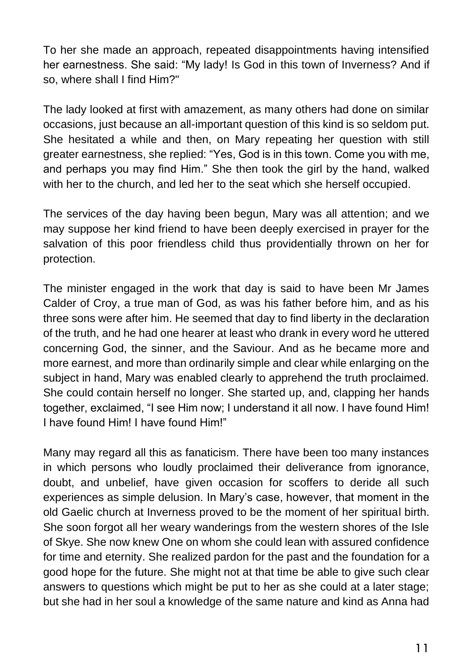To her she made an approach, repeated disappointments having intensified her earnestness. She said: "My lady! Is God in this town of Inverness? And if so, where shall I find Him?"

The lady looked at first with amazement, as many others had done on similar occasions, just because an all-important question of this kind is so seldom put. She hesitated a while and then, on Mary repeating her question with still greater earnestness, she replied: "Yes, God is in this town. Come you with me, and perhaps you may find Him." She then took the girl by the hand, walked with her to the church, and led her to the seat which she herself occupied.

The services of the day having been begun, Mary was all attention; and we may suppose her kind friend to have been deeply exercised in prayer for the salvation of this poor friendless child thus providentially thrown on her for protection.

The minister engaged in the work that day is said to have been Mr James Calder of Croy, a true man of God, as was his father before him, and as his three sons were after him. He seemed that day to find liberty in the declaration of the truth, and he had one hearer at least who drank in every word he uttered concerning God, the sinner, and the Saviour. And as he became more and more earnest, and more than ordinarily simple and clear while enlarging on the subject in hand, Mary was enabled clearly to apprehend the truth proclaimed. She could contain herself no longer. She started up, and, clapping her hands together, exclaimed, "I see Him now; I understand it all now. I have found Him! I have found Him! I have found Him!"

Many may regard all this as fanaticism. There have been too many instances in which persons who loudly proclaimed their deliverance from ignorance, doubt, and unbelief, have given occasion for scoffers to deride all such experiences as simple delusion. In Mary's case, however, that moment in the old Gaelic church at Inverness proved to be the moment of her spiritual birth. She soon forgot all her weary wanderings from the western shores of the Isle of Skye. She now knew One on whom she could lean with assured confidence for time and eternity. She realized pardon for the past and the foundation for a good hope for the future. She might not at that time be able to give such clear answers to questions which might be put to her as she could at a later stage; but she had in her soul a knowledge of the same nature and kind as Anna had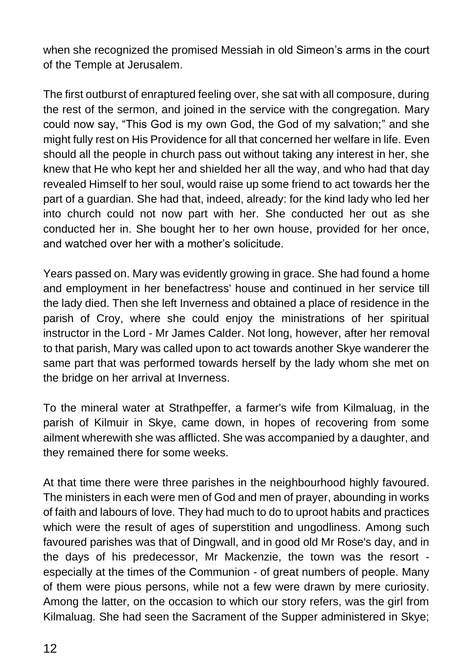when she recognized the promised Messiah in old Simeon's arms in the court of the Temple at Jerusalem.

The first outburst of enraptured feeling over, she sat with all composure, during the rest of the sermon, and joined in the service with the congregation. Mary could now say, "This God is my own God, the God of my salvation;" and she might fully rest on His Providence for all that concerned her welfare in life. Even should all the people in church pass out without taking any interest in her, she knew that He who kept her and shielded her all the way, and who had that day revealed Himself to her soul, would raise up some friend to act towards her the part of a guardian. She had that, indeed, already: for the kind lady who led her into church could not now part with her. She conducted her out as she conducted her in. She bought her to her own house, provided for her once, and watched over her with a mother's solicitude.

Years passed on. Mary was evidently growing in grace. She had found a home and employment in her benefactress' house and continued in her service till the lady died. Then she left Inverness and obtained a place of residence in the parish of Croy, where she could enjoy the ministrations of her spiritual instructor in the Lord - Mr James Calder. Not long, however, after her removal to that parish, Mary was called upon to act towards another Skye wanderer the same part that was performed towards herself by the lady whom she met on the bridge on her arrival at Inverness.

To the mineral water at Strathpeffer, a farmer's wife from Kilmaluag, in the parish of Kilmuir in Skye, came down, in hopes of recovering from some ailment wherewith she was afflicted. She was accompanied by a daughter, and they remained there for some weeks.

At that time there were three parishes in the neighbourhood highly favoured. The ministers in each were men of God and men of prayer, abounding in works of faith and labours of love. They had much to do to uproot habits and practices which were the result of ages of superstition and ungodliness. Among such favoured parishes was that of Dingwall, and in good old Mr Rose's day, and in the days of his predecessor, Mr Mackenzie, the town was the resort especially at the times of the Communion - of great numbers of people. Many of them were pious persons, while not a few were drawn by mere curiosity. Among the latter, on the occasion to which our story refers, was the girl from Kilmaluag. She had seen the Sacrament of the Supper administered in Skye;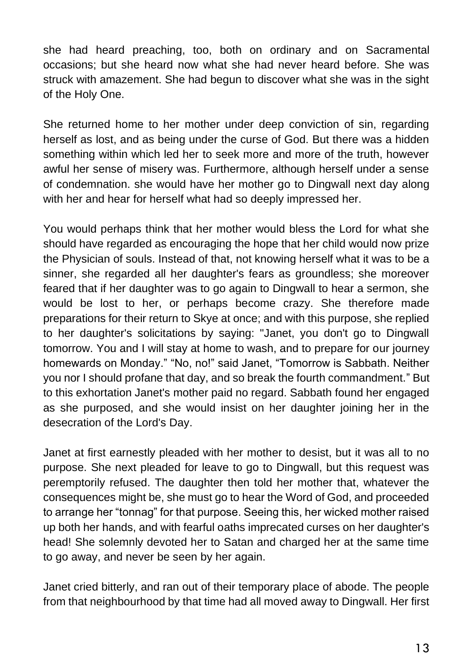she had heard preaching, too, both on ordinary and on Sacramental occasions; but she heard now what she had never heard before. She was struck with amazement. She had begun to discover what she was in the sight of the Holy One.

She returned home to her mother under deep conviction of sin, regarding herself as lost, and as being under the curse of God. But there was a hidden something within which led her to seek more and more of the truth, however awful her sense of misery was. Furthermore, although herself under a sense of condemnation. she would have her mother go to Dingwall next day along with her and hear for herself what had so deeply impressed her.

You would perhaps think that her mother would bless the Lord for what she should have regarded as encouraging the hope that her child would now prize the Physician of souls. Instead of that, not knowing herself what it was to be a sinner, she regarded all her daughter's fears as groundless; she moreover feared that if her daughter was to go again to Dingwall to hear a sermon, she would be lost to her, or perhaps become crazy. She therefore made preparations for their return to Skye at once; and with this purpose, she replied to her daughter's solicitations by saying: "Janet, you don't go to Dingwall tomorrow. You and I will stay at home to wash, and to prepare for our journey homewards on Monday." "No, no!" said Janet, "Tomorrow is Sabbath. Neither you nor I should profane that day, and so break the fourth commandment." But to this exhortation Janet's mother paid no regard. Sabbath found her engaged as she purposed, and she would insist on her daughter joining her in the desecration of the Lord's Day.

Janet at first earnestly pleaded with her mother to desist, but it was all to no purpose. She next pleaded for leave to go to Dingwall, but this request was peremptorily refused. The daughter then told her mother that, whatever the consequences might be, she must go to hear the Word of God, and proceeded to arrange her "tonnag" for that purpose. Seeing this, her wicked mother raised up both her hands, and with fearful oaths imprecated curses on her daughter's head! She solemnly devoted her to Satan and charged her at the same time to go away, and never be seen by her again.

Janet cried bitterly, and ran out of their temporary place of abode. The people from that neighbourhood by that time had all moved away to Dingwall. Her first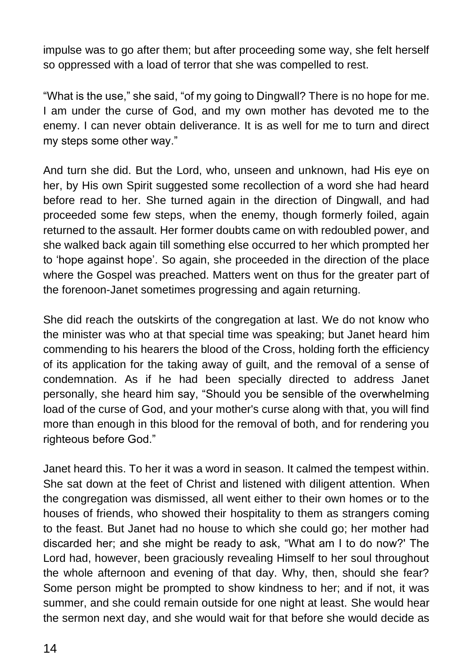impulse was to go after them; but after proceeding some way, she felt herself so oppressed with a load of terror that she was compelled to rest.

"What is the use," she said, "of my going to Dingwall? There is no hope for me. I am under the curse of God, and my own mother has devoted me to the enemy. I can never obtain deliverance. It is as well for me to turn and direct my steps some other way."

And turn she did. But the Lord, who, unseen and unknown, had His eye on her, by His own Spirit suggested some recollection of a word she had heard before read to her. She turned again in the direction of Dingwall, and had proceeded some few steps, when the enemy, though formerly foiled, again returned to the assault. Her former doubts came on with redoubled power, and she walked back again till something else occurred to her which prompted her to 'hope against hope'. So again, she proceeded in the direction of the place where the Gospel was preached. Matters went on thus for the greater part of the forenoon-Janet sometimes progressing and again returning.

She did reach the outskirts of the congregation at last. We do not know who the minister was who at that special time was speaking; but Janet heard him commending to his hearers the blood of the Cross, holding forth the efficiency of its application for the taking away of guilt, and the removal of a sense of condemnation. As if he had been specially directed to address Janet personally, she heard him say, "Should you be sensible of the overwhelming load of the curse of God, and your mother's curse along with that, you will find more than enough in this blood for the removal of both, and for rendering you righteous before God."

Janet heard this. To her it was a word in season. It calmed the tempest within. She sat down at the feet of Christ and listened with diligent attention. When the congregation was dismissed, all went either to their own homes or to the houses of friends, who showed their hospitality to them as strangers coming to the feast. But Janet had no house to which she could go; her mother had discarded her; and she might be ready to ask, "What am I to do now?' The Lord had, however, been graciously revealing Himself to her soul throughout the whole afternoon and evening of that day. Why, then, should she fear? Some person might be prompted to show kindness to her; and if not, it was summer, and she could remain outside for one night at least. She would hear the sermon next day, and she would wait for that before she would decide as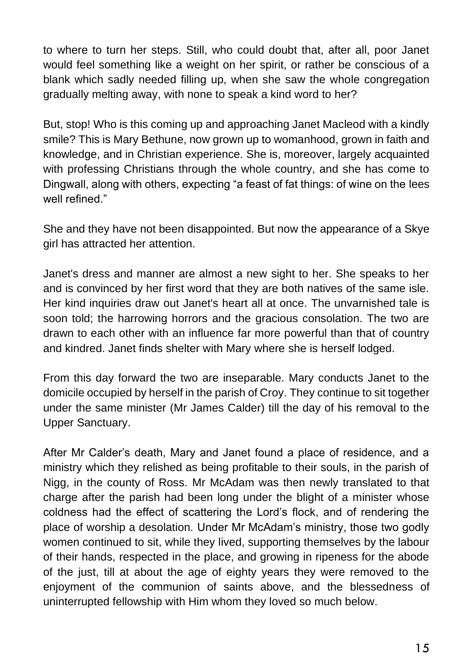to where to turn her steps. Still, who could doubt that, after all, poor Janet would feel something like a weight on her spirit, or rather be conscious of a blank which sadly needed filling up, when she saw the whole congregation gradually melting away, with none to speak a kind word to her?

But, stop! Who is this coming up and approaching Janet Macleod with a kindly smile? This is Mary Bethune, now grown up to womanhood, grown in faith and knowledge, and in Christian experience. She is, moreover, largely acquainted with professing Christians through the whole country, and she has come to Dingwall, along with others, expecting "a feast of fat things: of wine on the lees well refined."

She and they have not been disappointed. But now the appearance of a Skye girl has attracted her attention.

Janet's dress and manner are almost a new sight to her. She speaks to her and is convinced by her first word that they are both natives of the same isle. Her kind inquiries draw out Janet's heart all at once. The unvarnished tale is soon told; the harrowing horrors and the gracious consolation. The two are drawn to each other with an influence far more powerful than that of country and kindred. Janet finds shelter with Mary where she is herself lodged.

From this day forward the two are inseparable. Mary conducts Janet to the domicile occupied by herself in the parish of Croy. They continue to sit together under the same minister (Mr James Calder) till the day of his removal to the Upper Sanctuary.

After Mr Calder's death, Mary and Janet found a place of residence, and a ministry which they relished as being profitable to their souls, in the parish of Nigg, in the county of Ross. Mr McAdam was then newly translated to that charge after the parish had been long under the blight of a minister whose coldness had the effect of scattering the Lord's flock, and of rendering the place of worship a desolation. Under Mr McAdam's ministry, those two godly women continued to sit, while they lived, supporting themselves by the labour of their hands, respected in the place, and growing in ripeness for the abode of the just, till at about the age of eighty years they were removed to the enjoyment of the communion of saints above, and the blessedness of uninterrupted fellowship with Him whom they loved so much below.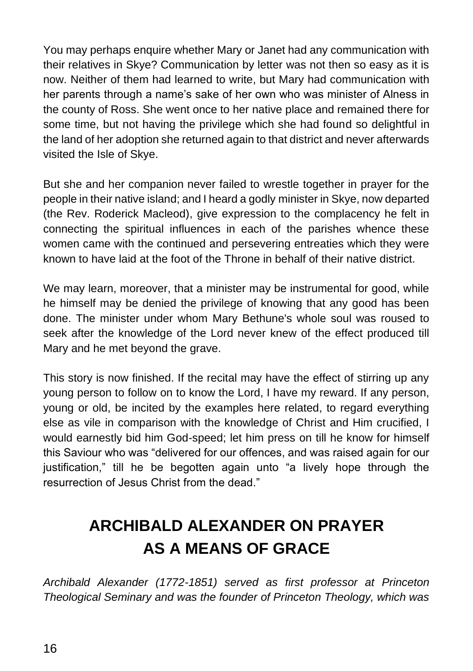You may perhaps enquire whether Mary or Janet had any communication with their relatives in Skye? Communication by letter was not then so easy as it is now. Neither of them had learned to write, but Mary had communication with her parents through a name's sake of her own who was minister of Alness in the county of Ross. She went once to her native place and remained there for some time, but not having the privilege which she had found so delightful in the land of her adoption she returned again to that district and never afterwards visited the Isle of Skye.

But she and her companion never failed to wrestle together in prayer for the people in their native island; and I heard a godly minister in Skye, now departed (the Rev. Roderick Macleod), give expression to the complacency he felt in connecting the spiritual influences in each of the parishes whence these women came with the continued and persevering entreaties which they were known to have laid at the foot of the Throne in behalf of their native district.

We may learn, moreover, that a minister may be instrumental for good, while he himself may be denied the privilege of knowing that any good has been done. The minister under whom Mary Bethune's whole soul was roused to seek after the knowledge of the Lord never knew of the effect produced till Mary and he met beyond the grave.

This story is now finished. If the recital may have the effect of stirring up any young person to follow on to know the Lord, I have my reward. If any person, young or old, be incited by the examples here related, to regard everything else as vile in comparison with the knowledge of Christ and Him crucified, I would earnestly bid him God-speed; let him press on till he know for himself this Saviour who was "delivered for our offences, and was raised again for our justification," till he be begotten again unto "a lively hope through the resurrection of Jesus Christ from the dead."

# **ARCHIBALD ALEXANDER ON PRAYER AS A MEANS OF GRACE**

*Archibald Alexander (1772-1851) served as first professor at Princeton Theological Seminary and was the founder of Princeton Theology, which was*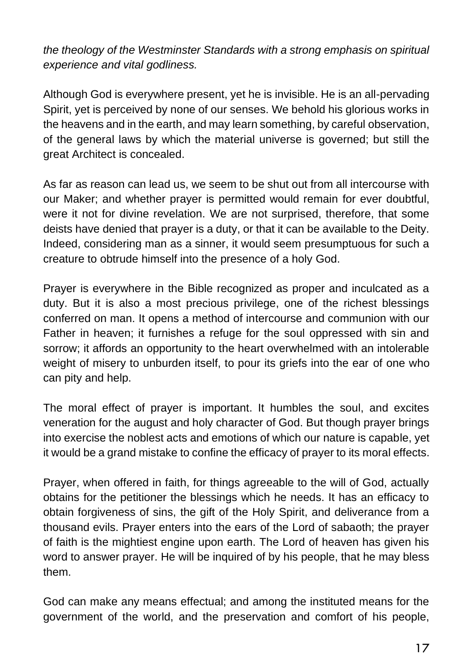*the theology of the Westminster Standards with a strong emphasis on spiritual experience and vital godliness.*

Although God is everywhere present, yet he is invisible. He is an all-pervading Spirit, yet is perceived by none of our senses. We behold his glorious works in the heavens and in the earth, and may learn something, by careful observation, of the general laws by which the material universe is governed; but still the great Architect is concealed.

As far as reason can lead us, we seem to be shut out from all intercourse with our Maker; and whether prayer is permitted would remain for ever doubtful, were it not for divine revelation. We are not surprised, therefore, that some deists have denied that prayer is a duty, or that it can be available to the Deity. Indeed, considering man as a sinner, it would seem presumptuous for such a creature to obtrude himself into the presence of a holy God.

Prayer is everywhere in the Bible recognized as proper and inculcated as a duty. But it is also a most precious privilege, one of the richest blessings conferred on man. It opens a method of intercourse and communion with our Father in heaven; it furnishes a refuge for the soul oppressed with sin and sorrow; it affords an opportunity to the heart overwhelmed with an intolerable weight of misery to unburden itself, to pour its griefs into the ear of one who can pity and help.

The moral effect of prayer is important. It humbles the soul, and excites veneration for the august and holy character of God. But though prayer brings into exercise the noblest acts and emotions of which our nature is capable, yet it would be a grand mistake to confine the efficacy of prayer to its moral effects.

Prayer, when offered in faith, for things agreeable to the will of God, actually obtains for the petitioner the blessings which he needs. It has an efficacy to obtain forgiveness of sins, the gift of the Holy Spirit, and deliverance from a thousand evils. Prayer enters into the ears of the Lord of sabaoth; the prayer of faith is the mightiest engine upon earth. The Lord of heaven has given his word to answer prayer. He will be inquired of by his people, that he may bless them.

God can make any means effectual; and among the instituted means for the government of the world, and the preservation and comfort of his people,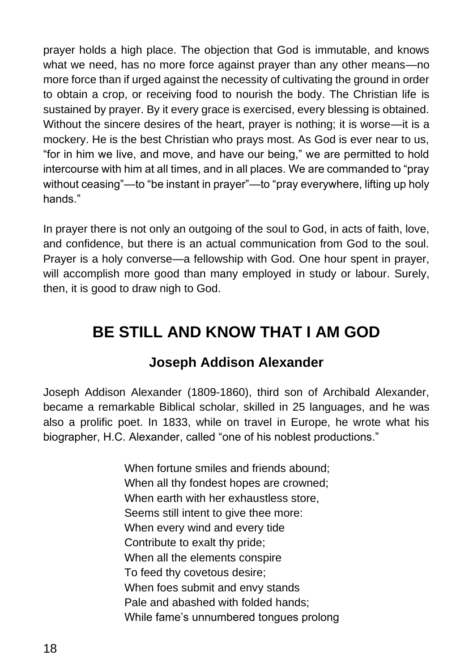prayer holds a high place. The objection that God is immutable, and knows what we need, has no more force against prayer than any other means—no more force than if urged against the necessity of cultivating the ground in order to obtain a crop, or receiving food to nourish the body. The Christian life is sustained by prayer. By it every grace is exercised, every blessing is obtained. Without the sincere desires of the heart, prayer is nothing; it is worse—it is a mockery. He is the best Christian who prays most. As God is ever near to us, "for in him we live, and move, and have our being," we are permitted to hold intercourse with him at all times, and in all places. We are commanded to "pray without ceasing"—to "be instant in prayer"—to "pray everywhere, lifting up holy hands."

In prayer there is not only an outgoing of the soul to God, in acts of faith, love, and confidence, but there is an actual communication from God to the soul. Prayer is a holy converse—a fellowship with God. One hour spent in prayer, will accomplish more good than many employed in study or labour. Surely, then, it is good to draw nigh to God.

### **BE STILL AND KNOW THAT I AM GOD**

#### **Joseph Addison Alexander**

Joseph Addison Alexander (1809-1860), third son of Archibald Alexander, became a remarkable Biblical scholar, skilled in 25 languages, and he was also a prolific poet. In 1833, while on travel in Europe, he wrote what his biographer, H.C. Alexander, called "one of his noblest productions."

> When fortune smiles and friends abound; When all thy fondest hopes are crowned; When earth with her exhaustless store, Seems still intent to give thee more: When every wind and every tide Contribute to exalt thy pride; When all the elements conspire To feed thy covetous desire; When foes submit and envy stands Pale and abashed with folded hands; While fame's unnumbered tongues prolong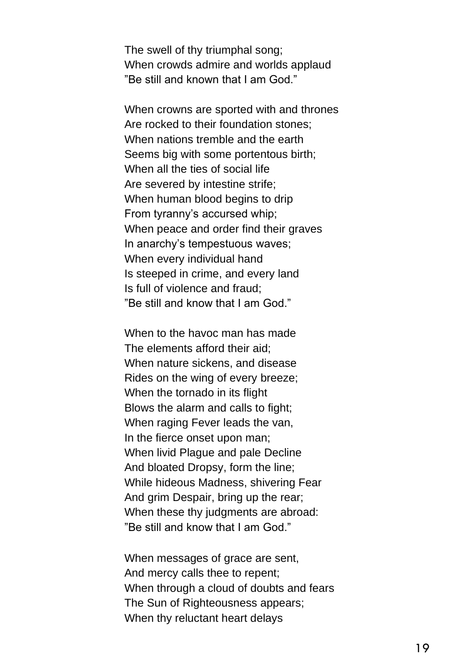The swell of thy triumphal song; When crowds admire and worlds applaud "Be still and known that I am God."

When crowns are sported with and thrones Are rocked to their foundation stones; When nations tremble and the earth Seems big with some portentous birth; When all the ties of social life Are severed by intestine strife; When human blood begins to drip From tyranny's accursed whip; When peace and order find their graves In anarchy's tempestuous waves; When every individual hand Is steeped in crime, and every land Is full of violence and fraud; "Be still and know that I am God."

When to the havoc man has made The elements afford their aid; When nature sickens, and disease Rides on the wing of every breeze; When the tornado in its flight Blows the alarm and calls to fight; When raging Fever leads the van, In the fierce onset upon man; When livid Plague and pale Decline And bloated Dropsy, form the line; While hideous Madness, shivering Fear And grim Despair, bring up the rear; When these thy judgments are abroad: "Be still and know that I am God."

When messages of grace are sent, And mercy calls thee to repent; When through a cloud of doubts and fears The Sun of Righteousness appears; When thy reluctant heart delays